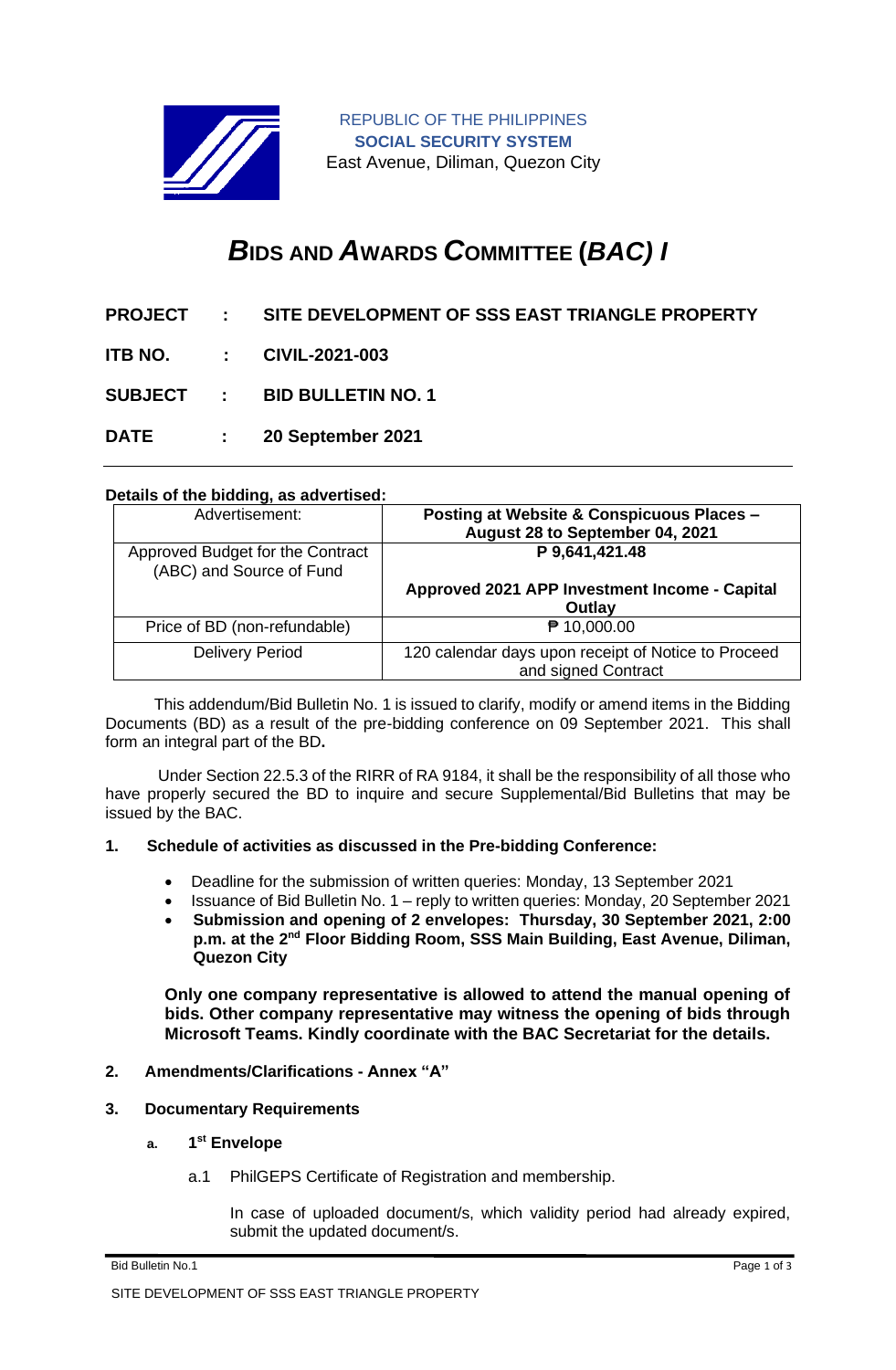

REPUBLIC OF THE PHILIPPINES **SOCIAL SECURITY SYSTEM** East Avenue, Diliman, Quezon City

# *B***IDS AND** *A***WARDS** *C***OMMITTEE (***BAC) I*

- **PROJECT : SITE DEVELOPMENT OF SSS EAST TRIANGLE PROPERTY**
- **ITB NO. : CIVIL-2021-003**
- **SUBJECT : BID BULLETIN NO. 1**
- **DATE : 20 September 2021**

### **Details of the bidding, as advertised:**

| Advertisement:                                               | <b>Posting at Website &amp; Conspicuous Places -</b><br>August 28 to September 04, 2021 |
|--------------------------------------------------------------|-----------------------------------------------------------------------------------------|
| Approved Budget for the Contract<br>(ABC) and Source of Fund | P 9,641,421.48                                                                          |
|                                                              | Approved 2021 APP Investment Income - Capital<br>Outlay                                 |
| Price of BD (non-refundable)                                 | ₱ 10,000.00                                                                             |
| <b>Delivery Period</b>                                       | 120 calendar days upon receipt of Notice to Proceed<br>and signed Contract              |

 This addendum/Bid Bulletin No. 1 is issued to clarify, modify or amend items in the Bidding Documents (BD) as a result of the pre-bidding conference on 09 September 2021. This shall form an integral part of the BD**.**

Under Section 22.5.3 of the RIRR of RA 9184, it shall be the responsibility of all those who have properly secured the BD to inquire and secure Supplemental/Bid Bulletins that may be issued by the BAC.

#### **1. Schedule of activities as discussed in the Pre-bidding Conference:**

- Deadline for the submission of written queries: Monday, 13 September 2021
- Issuance of Bid Bulletin No. 1 reply to written queries: Monday, 20 September 2021
- **Submission and opening of 2 envelopes: Thursday, 30 September 2021, 2:00 p.m. at the 2nd Floor Bidding Room, SSS Main Building, East Avenue, Diliman, Quezon City**

**Only one company representative is allowed to attend the manual opening of bids. Other company representative may witness the opening of bids through Microsoft Teams. Kindly coordinate with the BAC Secretariat for the details.**

- **2. Amendments/Clarifications - Annex "A"**
- **3. Documentary Requirements**
	- **a. 1 st Envelope**
		- a.1 PhilGEPS Certificate of Registration and membership.

In case of uploaded document/s, which validity period had already expired, submit the updated document/s.

Bid Bulletin No.1 Page 1 of 3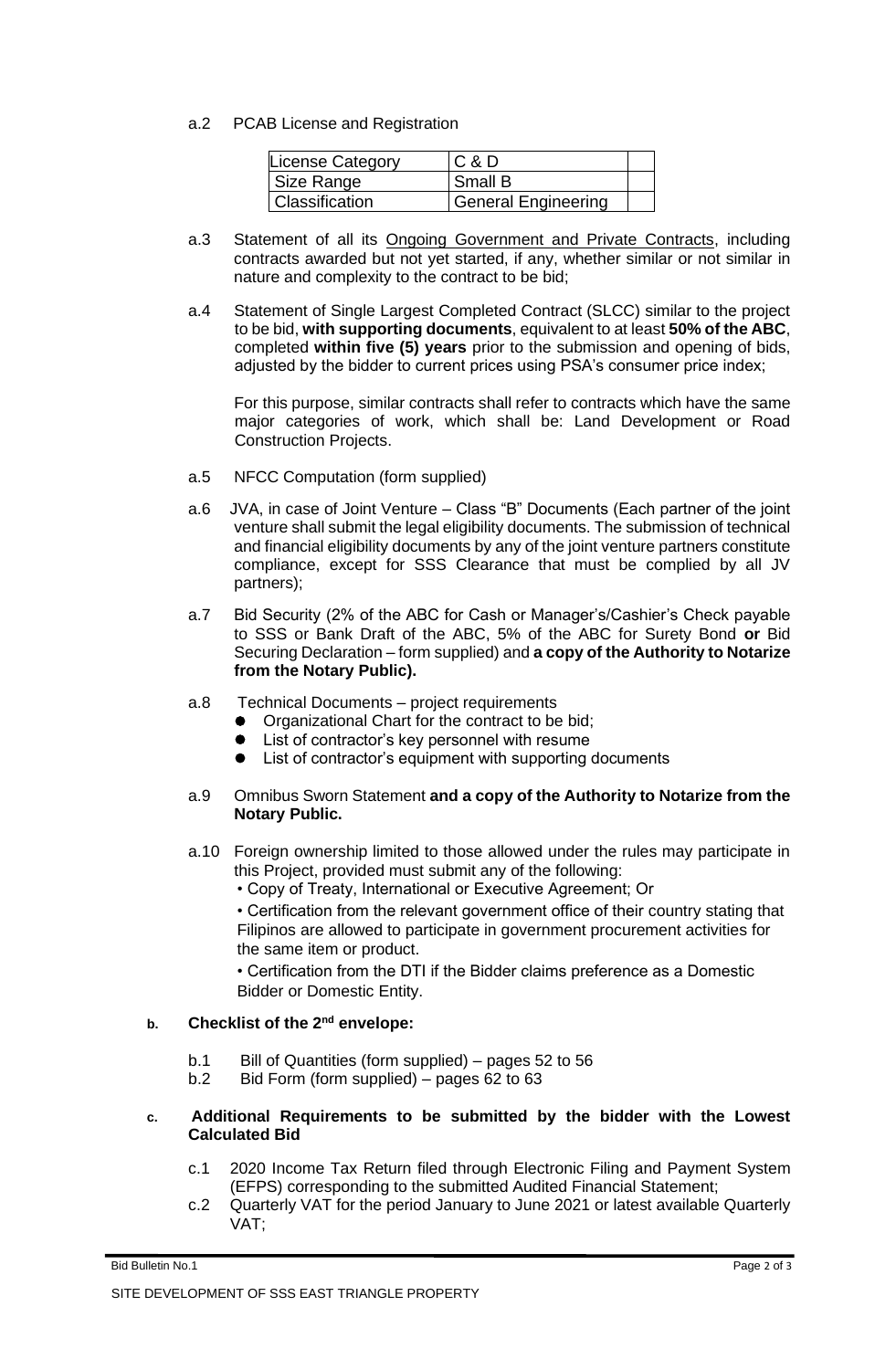a.2 PCAB License and Registration

| License Category | C & D                      |  |
|------------------|----------------------------|--|
| Size Range       | Small B                    |  |
| Classification   | <b>General Engineering</b> |  |

- a.3 Statement of all its **Ongoing Government and Private Contracts**, including contracts awarded but not yet started, if any, whether similar or not similar in nature and complexity to the contract to be bid;
- a.4 Statement of Single Largest Completed Contract (SLCC) similar to the project to be bid, **with supporting documents**, equivalent to at least **50% of the ABC**, completed **within five (5) years** prior to the submission and opening of bids, adjusted by the bidder to current prices using PSA's consumer price index;

For this purpose, similar contracts shall refer to contracts which have the same major categories of work, which shall be: Land Development or Road Construction Projects.

- a.5 NFCC Computation (form supplied)
- a.6 JVA, in case of Joint Venture Class "B" Documents (Each partner of the joint venture shall submit the legal eligibility documents. The submission of technical and financial eligibility documents by any of the joint venture partners constitute compliance, except for SSS Clearance that must be complied by all JV partners);
- a.7 Bid Security (2% of the ABC for Cash or Manager's/Cashier's Check payable to SSS or Bank Draft of the ABC, 5% of the ABC for Surety Bond **or** Bid Securing Declaration – form supplied) and **a copy of the Authority to Notarize from the Notary Public).**
- a.8 Technical Documents project requirements
	- ⚫ Organizational Chart for the contract to be bid;
	- List of contractor's key personnel with resume
	- List of contractor's equipment with supporting documents

### a.9 Omnibus Sworn Statement **and a copy of the Authority to Notarize from the Notary Public.**

- a.10 Foreign ownership limited to those allowed under the rules may participate in this Project, provided must submit any of the following:
	- Copy of Treaty, International or Executive Agreement; Or

• Certification from the relevant government office of their country stating that Filipinos are allowed to participate in government procurement activities for the same item or product.

• Certification from the DTI if the Bidder claims preference as a Domestic Bidder or Domestic Entity.

## **b. Checklist of the 2nd envelope:**

- b.1 Bill of Quantities (form supplied) pages 52 to 56
- b.2 Bid Form (form supplied) pages 62 to 63

### **c. Additional Requirements to be submitted by the bidder with the Lowest Calculated Bid**

- c.1 2020 Income Tax Return filed through Electronic Filing and Payment System (EFPS) corresponding to the submitted Audited Financial Statement;
- c.2 Quarterly VAT for the period January to June 2021 or latest available Quarterly VAT;